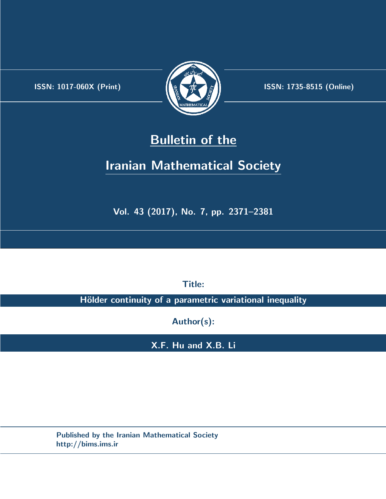.



**ISSN:** 1017-060X (Print) **ISSN:** 1735-8515 (Online)

# **Bulletin of the**

# **Iranian Mathematical Society**

**Vol. 43 (2017), No. 7, pp. 2371–2381**

**Title:**

**Hölder continuity of a parametric variational inequality** 

**Author(s):**

**X.F. Hu and X.B. Li**

**Published by the Iranian Mathematical Society http://bims.ims.ir**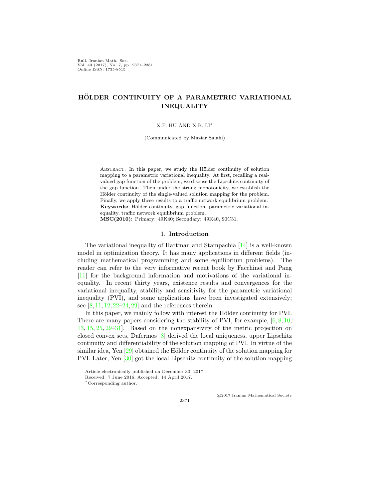Bull. Iranian Math. Soc. Vol. 43 (2017), No. 7, pp. 2371–2381 Online ISSN: 1735-8515

# **HOLDER CONTINUITY OF A PARAMETRIC VARIATIONAL ¨ INEQUALITY**

#### X.F. HU AND X.B. LI*∗*

(Communicated by Maziar Salahi)

ABSTRACT. In this paper, we study the Hölder continuity of solution mapping to a parametric variational inequality. At first, recalling a realvalued gap function of the problem, we discuss the Lipschitz continuity of the gap function. Then under the strong monotonicity, we establish the Hölder continuity of the single-valued solution mapping for the problem. Finally, we apply these results to a traffic network equilibrium problem. Keywords: Hölder continuity, gap function, parametric variational inequality, traffic network equilibrium problem.

**MSC(2010):** Primary: 49K40; Secondary: 49K40, 90C31.

#### 1. **Introduction**

The variational inequality of Hartman and Stampachia [[14\]](#page-10-0) is a well-known model in optimization theory. It has many applications in different fields (including mathematical programming and some equilibrium problems). The reader can refer to the very informative recent book by Facchinei and Pang [[11\]](#page-10-1) for the background information and motivations of the variational inequality. In recent thirty years, existence results and convergences for the variational inequality, stability and sensitivity for the parametric variational inequality (PVI), and some applications have been investigated extensively; see  $[8, 11, 12, 22-24, 29]$  $[8, 11, 12, 22-24, 29]$  $[8, 11, 12, 22-24, 29]$  $[8, 11, 12, 22-24, 29]$  $[8, 11, 12, 22-24, 29]$  $[8, 11, 12, 22-24, 29]$  $[8, 11, 12, 22-24, 29]$  $[8, 11, 12, 22-24, 29]$  $[8, 11, 12, 22-24, 29]$  $[8, 11, 12, 22-24, 29]$  and the references therein.

In this paper, we mainly follow with interest the Hölder continuity for PVI. There are many papers considering the stability of PVI, for example,  $[6, 8, 10,$  $[6, 8, 10,$  $[6, 8, 10,$  $[6, 8, 10,$  $[6, 8, 10,$  $[6, 8, 10,$  $[6, 8, 10,$ [13,](#page-10-8) [15,](#page-10-9) [25,](#page-10-10) [29](#page-11-0)[–31](#page-11-1)]. Based on the nonexpansivity of the metric projection on closed convex sets, Dafermos [[8](#page-10-2)] derived the local uniqueness, upper Lipschitz continuity and differentiability of the solution mapping of PVI. In virtue of the similar idea, Yen  $[29]$  $[29]$  obtained the Hölder continuity of the solution mapping for PVI. Later, Yen [\[30](#page-11-2)] got the local Lipschitz continuity of the solution mapping

2371

*⃝*c 2017 Iranian Mathematical Society

Article electronically published on December 30, 2017.

Received: 7 June 2016, Accepted: 14 April 2017.

*<sup>∗</sup>*Corresponding author.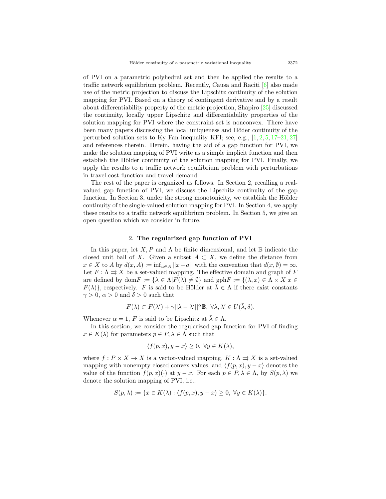of PVI on a parametric polyhedral set and then he applied the results to a traffic network equilibrium problem. Recently, Causa and Raciti [[6](#page-10-6)] also made use of the metric projection to discuss the Lipschitz continuity of the solution mapping for PVI. Based on a theory of contingent derivative and by a result about differentiability property of the metric projection, Shapiro [[25\]](#page-10-10) discussed the continuity, locally upper Lipschitz and differentiability properties of the solution mapping for PVI where the constraint set is nonconvex. There have been many papers discussing the local uniqueness and Höder continuity of the perturbed solution sets to Ky Fan inequality KFI; see, e.g.,  $[1, 2, 5, 17–21, 27]$  $[1, 2, 5, 17–21, 27]$  $[1, 2, 5, 17–21, 27]$  $[1, 2, 5, 17–21, 27]$  $[1, 2, 5, 17–21, 27]$  $[1, 2, 5, 17–21, 27]$  $[1, 2, 5, 17–21, 27]$  $[1, 2, 5, 17–21, 27]$  $[1, 2, 5, 17–21, 27]$  $[1, 2, 5, 17–21, 27]$  $[1, 2, 5, 17–21, 27]$  $[1, 2, 5, 17–21, 27]$ and references therein. Herein, having the aid of a gap function for PVI, we make the solution mapping of PVI write as a simple implicit function and then establish the Hölder continuity of the solution mapping for PVI. Finally, we apply the results to a traffic network equilibrium problem with perturbations in travel cost function and travel demand.

The rest of the paper is organized as follows. In Section 2, recalling a realvalued gap function of PVI, we discuss the Lipschitz continuity of the gap function. In Section 3, under the strong monotonicity, we establish the Hölder continuity of the single-valued solution mapping for PVI. In Section 4, we apply these results to a traffic network equilibrium problem. In Section 5, we give an open question which we consider in future.

## 2. **The regularized gap function of PVI**

In this paper, let  $X, P$  and  $\Lambda$  be finite dimensional, and let  $\mathbb B$  indicate the closed unit ball of *X*. Given a subset  $A \subset X$ , we define the distance from  $x \in X$  to *A* by  $d(x, A) := \inf_{a \in A} ||x - a||$  with the convention that  $d(x, \emptyset) = \infty$ . Let  $F: \Lambda \rightrightarrows X$  be a set-valued mapping. The effective domain and graph of  $F$ are defined by dom $F := {\lambda \in \Lambda | F(\lambda) \neq \emptyset}$  and  $gphF := {\lambda \times X | x \in \Lambda}$  $F(\lambda)$ , respectively. *F* is said to be Hölder at  $\lambda \in \Lambda$  if there exist constants  $\gamma > 0$ ,  $\alpha > 0$  and  $\delta > 0$  such that

$$
F(\lambda) \subset F(\lambda') + \gamma ||\lambda - \lambda'||^{\alpha} \mathbb{B}, \ \forall \lambda, \lambda' \in U(\bar{\lambda}, \delta).
$$

Whenever  $\alpha = 1$ , *F* is said to be Lipschitz at  $\overline{\lambda} \in \Lambda$ .

In this section, we consider the regularized gap function for PVI of finding  $x \in K(\lambda)$  for parameters  $p \in P, \lambda \in \Lambda$  such that

$$
\langle f(p,x), y - x \rangle \ge 0, \ \forall y \in K(\lambda),
$$

where  $f: P \times X \to X$  is a vector-valued mapping,  $K: \Lambda \rightrightarrows X$  is a set-valued mapping with nonempty closed convex values, and  $\langle f(p, x), y - x \rangle$  denotes the value of the function  $f(p, x)(\cdot)$  at  $y - x$ . For each  $p \in P, \lambda \in \Lambda$ , by  $S(p, \lambda)$  we denote the solution mapping of PVI, i.e.,

$$
S(p,\lambda) := \{ x \in K(\lambda) : \langle f(p,x), y - x \rangle \ge 0, \ \forall y \in K(\lambda) \}.
$$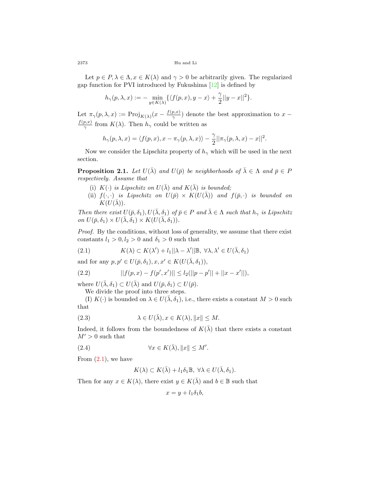2373 Hu and Li

Let  $p \in P, \lambda \in \Lambda, x \in K(\lambda)$  and  $\gamma > 0$  be arbitrarily given. The regularized gap function for PVI introduced by Fukushima [[12\]](#page-10-3) is defined by

$$
h_\gamma(p,\lambda,x):=-\min_{y\in K(\lambda)}\{\langle f(p,x),y-x\rangle+\frac{\gamma}{2}||y-x||^2\}.
$$

Let  $\pi_{\gamma}(p,\lambda,x) := \text{Proj}_{K(\lambda)}(x - \frac{f(p,x)}{\gamma})$  $\frac{p, x}{\gamma}$ ) denote the best approximation to *x* − *f*(*p,x*)  $\frac{p, x}{\gamma}$  from *K*(*λ*). Then *h*<sub>γ</sub> could be written as

$$
h_{\gamma}(p,\lambda,x) = \langle f(p,x), x - \pi_{\gamma}(p,\lambda,x) \rangle - \frac{\gamma}{2} ||\pi_{\gamma}(p,\lambda,x) - x||^{2}.
$$

Now we consider the Lipschitz property of  $h_\gamma$  which will be used in the next section.

<span id="page-3-5"></span>**Proposition 2.1.** *Let*  $U(\bar{\lambda})$  *and*  $U(\bar{p})$  *be neighborhoods of*  $\bar{\lambda} \in \Lambda$  *and*  $\bar{p} \in P$ *respectively. Assume that*

- (i)  $K(\cdot)$  *is Lipschitz on*  $U(\overline{\lambda})$  *and*  $K(\overline{\lambda})$  *is bounded;*
- (ii)  $f(\cdot, \cdot)$  *is Lipschitz on*  $U(\bar{p}) \times K(U(\bar{\lambda}))$  *and*  $f(\bar{p}, \cdot)$  *is bounded on*  $K(U(\lambda))$ .

*Then there exist*  $U(\bar{p}, \delta_1), U(\bar{\lambda}, \delta_1)$  *of*  $\bar{p} \in P$  *and*  $\bar{\lambda} \in \Lambda$  *such that*  $h_{\gamma}$  *is Lipschitz*  $\partial M$   $U(\bar{p}, \delta_1) \times U(\bar{\lambda}, \delta_1) \times K(U(\bar{\lambda}, \delta_1)).$ 

*Proof.* By the conditions, without loss of generality, we assume that there exist constants  $l_1 > 0, l_2 > 0$  and  $\delta_1 > 0$  such that

<span id="page-3-0"></span>(2.1) 
$$
K(\lambda) \subset K(\lambda') + l_1 ||\lambda - \lambda'||\mathbb{B}, \forall \lambda, \lambda' \in U(\bar{\lambda}, \delta_1)
$$

and for any  $p, p' \in U(\bar{p}, \delta_1), x, x' \in K(U(\bar{\lambda}, \delta_1)),$ 

<span id="page-3-3"></span>(2.2) 
$$
||f(p,x) - f(p',x')|| \leq l_2(||p - p'|| + ||x - x'||),
$$

where  $U(\bar{\lambda}, \delta_1) \subset U(\bar{\lambda})$  and  $U(\bar{p}, \delta_1) \subset U(\bar{p})$ .

We divide the proof into three steps.

(I)  $K(\cdot)$  is bounded on  $\lambda \in U(\bar{\lambda}, \delta_1)$ , i.e., there exists a constant  $M > 0$  such that

(2.3) 
$$
\lambda \in U(\bar{\lambda}), x \in K(\lambda), \|x\| \le M.
$$

Indeed, it follows from the boundedness of  $K(\overline{\lambda})$  that there exists a constant  $M' > 0$  such that

(2.4) 
$$
\forall x \in K(\bar{\lambda}), \|x\| \le M'.
$$

From  $(2.1)$ , we have

<span id="page-3-4"></span><span id="page-3-2"></span><span id="page-3-1"></span>
$$
K(\lambda) \subset K(\bar{\lambda}) + l_1 \delta_1 \mathbb{B}, \ \forall \lambda \in U(\bar{\lambda}, \delta_1).
$$

Then for any  $x \in K(\lambda)$ , there exist  $y \in K(\overline{\lambda})$  and  $b \in \mathbb{B}$  such that

$$
x = y + l_1 \delta_1 b,
$$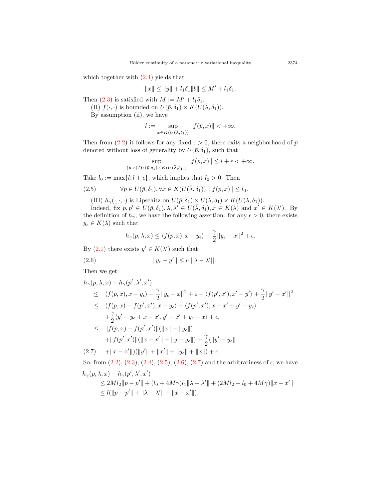which together with  $(2.4)$  $(2.4)$  yields that

$$
||x|| \le ||y|| + l_1 \delta_1 ||b|| \le M' + l_1 \delta_1.
$$

Then ([2.3\)](#page-3-2) is satisfied with  $M := M' + l_1 \delta_1$ .

 $(II)$   $f(\cdot, \cdot)$  is bounded on  $U(\bar{p}, \delta_1) \times K(U(\bar{\lambda}, \delta_1)).$ 

By assumption (ii), we have

$$
l:=\sup_{x\in K(U(\bar \lambda,\delta_1))}\|f(\bar p, x)\|<+\infty.
$$

Then from ([2.2](#page-3-3)) it follows for any fixed  $\epsilon > 0$ , there exits a neighborhood of  $\bar{p}$ denoted without loss of generality by  $U(\bar{p}, \delta_1)$ , such that

$$
\sup_{(p,x)\in U(\bar{p},\delta_1)\times K(U(\bar{\lambda},\delta_1))} \|f(p,x)\| \le l+\epsilon < +\infty.
$$

Take  $l_0 := \max\{l; l + \epsilon\}$ , which implies that  $l_0 > 0$ . Then

(2.5) 
$$
\forall p \in U(\bar{p}, \delta_1), \forall x \in K(U(\bar{\lambda}, \delta_1)), ||f(p, x)|| \le l_0.
$$

(III)  $h_{\gamma}(\cdot, \cdot, \cdot)$  is Lipschitz on  $U(\bar{p}, \delta_1) \times U(\bar{\lambda}, \delta_1) \times K(U(\bar{\lambda}, \delta_1))$ .

Indeed, fix  $p, p' \in U(\bar{p}, \delta_1), \lambda, \lambda' \in U(\bar{\lambda}, \delta_1), x \in K(\lambda)$  and  $x' \in K(\lambda')$ . By the definition of  $h_{\gamma}$ , we have the following assertion: for any  $\epsilon > 0$ , there exists  $y_{\epsilon} \in K(\lambda)$  such that

<span id="page-4-0"></span>
$$
h_\gamma(p,\lambda,x)\leq \langle f(p,x),x-y_\epsilon\rangle-\frac{\gamma}{2}||y_\epsilon-x||^2+\epsilon.
$$

By  $(2.1)$  $(2.1)$  $(2.1)$  there exists  $y' \in K(\lambda')$  such that

$$
(2.6) \t\t ||y_{\epsilon} - y'|| \le l_1 ||\lambda - \lambda'||.
$$

Then we get

<span id="page-4-1"></span>
$$
h_{\gamma}(p, \lambda, x) - h_{\gamma}(p', \lambda', x')
$$
  
\n
$$
\leq \langle f(p, x), x - y_{\epsilon} \rangle - \frac{\gamma}{2} ||y_{\epsilon} - x||^{2} + \varepsilon - \langle f(p', x'), x' - y' \rangle + \frac{\gamma}{2} ||y' - x'||^{2}
$$
  
\n
$$
\leq \langle f(p, x) - f(p', x'), x - y_{\epsilon} \rangle + \langle f(p', x'), x - x' + y' - y_{\epsilon} \rangle
$$
  
\n
$$
+ \frac{\gamma}{2} \langle y' - y_{\epsilon} + x - x', y' - x' + y_{\epsilon} - x \rangle + \epsilon,
$$
  
\n
$$
\leq ||f(p, x) - f(p', x')||(||x|| + ||y_{\epsilon}||)
$$
  
\n
$$
+ ||f(p', x')||(||x - x'|| + ||y - y_{\epsilon}||) + \frac{\gamma}{2}(||y' - y_{\epsilon}||)
$$

 $(2.7)$   $+||x-x'||)(||y'|| + ||x'|| + ||y_{\epsilon}|| + ||x||) + \epsilon.$ 

So, from  $(2.2)$ ,  $(2.3)$  $(2.3)$ ,  $(2.4)$  $(2.4)$ ,  $(2.5)$  $(2.5)$  $(2.5)$ ,  $(2.6)$  $(2.6)$  $(2.6)$ ,  $(2.7)$  $(2.7)$  and the arbitrariness of  $\epsilon$ , we have  $h_\gamma(p,\lambda,x)-h_\gamma(p',\lambda',x')$ 

$$
\leq 2Ml_2\|p - p'\| + (l_0 + 4M\gamma)l_1\|\lambda - \lambda'\| + (2Ml_2 + l_0 + 4M\gamma)\|x - x'\|
$$
  

$$
\leq l(\|p - p'\| + \|\lambda - \lambda'\| + \|x - x'\|),
$$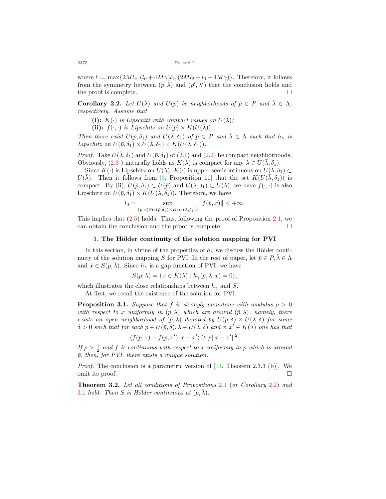where  $l := \max\{2Ml_2, (l_0 + 4M\gamma)l_1, (2Ml_2 + l_0 + 4M\gamma)\}\.$  Therefore, it follows from the symmetry between  $(p, \lambda)$  and  $(p', \lambda')$  that the conclusion holds and the proof is complete.  $\Box$ 

<span id="page-5-0"></span>**Corollary 2.2.** *Let*  $U(\bar{\lambda})$  *and*  $U(\bar{p})$  *be neighborhoods of*  $\bar{p} \in P$  *and*  $\bar{\lambda} \in \Lambda$ *, respectively. Assume that*

(i):  $K(\cdot)$  *is Lipschitz with compact values on*  $U(\bar{\lambda})$ ;

(ii):  $f(\cdot, \cdot)$  *is Lipschitz on*  $U(\bar{p}) \times K(U(\bar{\lambda}))$ .

*Then there exist*  $U(\bar{p}, \delta_1)$  *and*  $U(\bar{\lambda}, \delta_1)$  *of*  $\bar{p} \in P$  *and*  $\bar{\lambda} \in \Lambda$  *such that*  $h_{\gamma}$  *is*  $Lipschitz \textit{ on } U(\bar{p}, \delta_1) \times U(\bar{\lambda}, \delta_1) \times K(U(\bar{\lambda}, \delta_1)).$ 

*Proof.* Take  $U(\bar{\lambda}, \delta_1)$  and  $U(\bar{p}, \delta_1)$  of ([2.1](#page-3-0)) and [\(2.2\)](#page-3-3) be compact neighborhoods. Obviously,  $(2.3)$  $(2.3)$  $(2.3)$  naturally holds as  $K(\lambda)$  is compact for any  $\lambda \in U(\bar{\lambda}, \delta_1)$ .

Since  $K(\cdot)$  is Lipschitz on  $U(\bar{\lambda}), K(\cdot)$  is upper semicontinuous on  $U(\bar{\lambda}, \delta_1) \subset$ *U*( $\bar{\lambda}$ ). Then it follows from [[3,](#page-9-2) Proposition 11] that the set  $K(U(\bar{\lambda}, \delta_1))$  is compact. By (ii),  $U(\bar{p}, \delta_1) \subset U(\bar{p})$  and  $U(\bar{\lambda}, \delta_1) \subset U(\bar{\lambda})$ , we have  $f(\cdot, \cdot)$  is also Lipschitz on  $U(\bar{p}, \delta_1) \times K(U(\bar{\lambda}, \delta_1))$ . Therefore, we have

$$
l_0 = \sup_{(p,x)\in U(\bar{p},\delta_1)\times K(U(\bar{\lambda},\delta_1))} ||f(p,x)|| < +\infty.
$$

This implies that  $(2.5)$  $(2.5)$  holds. Thus, following the proof of Proposition [2.1,](#page-3-5) we can obtain the conclusion and the proof is complete.  $\Box$ 

### 3. **The H¨older continuity of the solution mapping for PVI**

In this section, in virtue of the properties of  $h<sub>γ</sub>$  we discuss the Hölder continuity of the solution mapping *S* for PVI. In the rest of paper, let  $\bar{p} \in P, \bar{\lambda} \in \Lambda$ and  $\bar{x} \in S(\bar{p}, \lambda)$ . Since  $h_{\gamma}$  is a gap function of PVI, we have

$$
S(p,\lambda) = \{x \in K(\lambda) : h_{\gamma}(p,\lambda,x) = 0\},\
$$

which illustrates the close relationships between  $h_{\gamma}$  and *S*.

At first, we recall the existence of the solution for PVI.

<span id="page-5-1"></span>**Proposition 3.1.** *Suppose that f is strongly monotone with modulus*  $\rho > 0$ *with respect to x uniformly in*  $(p, \lambda)$  *which are around*  $(\bar{p}, \lambda)$ *, namely, there exists an open neighborhood of*  $(\bar{p}, \lambda)$  *denoted by*  $U(\bar{p}, \delta) \times U(\lambda, \delta)$  *for some*  $\delta > 0$  *such that for each*  $p \in U(\bar{p}, \delta)$ ,  $\lambda \in U(\lambda, \delta)$  and  $x, x' \in K(\lambda)$  one has that

$$
\langle f(p,x)-f(p,x'), x-x'\rangle \ge \rho ||x-x'||^2.
$$

*If*  $\rho > \frac{\gamma}{2}$  and *f is continuous with respect to x uniformly in p which is around*  $\bar{p}$ , then, for PVI, there exists a unique solution.

*Proof.* The conclusion is a parametric version of [[11](#page-10-1), Theorem 2.3.3 (b)]. We omit its proof. □

<span id="page-5-2"></span>**Theorem 3.2.** *Let all conditions of Propositions* [2.1](#page-3-5) (*or Corollary* [2.2](#page-5-0)) *and* [3.1](#page-5-1) *hold.* Then *S* is Hölder continuous at  $(\bar{p}, \bar{\lambda})$ .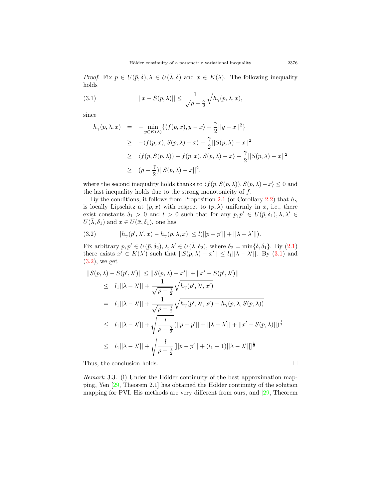*Proof.* Fix  $p \in U(\bar{p}, \delta), \lambda \in U(\bar{\lambda}, \delta)$  and  $x \in K(\lambda)$ . The following inequality holds

(3.1) 
$$
||x - S(p, \lambda)|| \leq \frac{1}{\sqrt{\rho - \frac{\gamma}{2}}} \sqrt{h_{\gamma}(p, \lambda, x)},
$$

since

<span id="page-6-1"></span><span id="page-6-0"></span>
$$
h_{\gamma}(p,\lambda,x) = -\min_{y \in K(\lambda)} \{ \langle f(p,x), y-x \rangle + \frac{\gamma}{2} ||y-x||^2 \}
$$
  
\n
$$
\geq -\langle f(p,x), S(p,\lambda) - x \rangle - \frac{\gamma}{2} ||S(p,\lambda) - x||^2
$$
  
\n
$$
\geq \langle f(p, S(p,\lambda)) - f(p,x), S(p,\lambda) - x \rangle - \frac{\gamma}{2} ||S(p,\lambda) - x||^2
$$
  
\n
$$
\geq (\rho - \frac{\gamma}{2}) ||S(p,\lambda) - x||^2,
$$

where the second inequality holds thanks to  $\langle f(p, S(p, \lambda)), S(p, \lambda) - x \rangle \leq 0$  and the last inequality holds due to the strong monotonicity of *f*.

By the conditions, it follows from Proposition [2.1](#page-3-5) (or Corollary [2.2](#page-5-0)) that *h<sup>γ</sup>* is locally Lipschitz at  $(\bar{p}, \bar{x})$  with respect to  $(p, \lambda)$  uniformly in *x*, i.e., there exist constants  $\delta_1 > 0$  and  $l > 0$  such that for any  $p, p' \in U(\bar{p}, \delta_1), \lambda, \lambda' \in$  $U(\bar{\lambda}, \delta_1)$  and  $x \in U(\bar{x}, \delta_1)$ , one has

(3.2) 
$$
|h_{\gamma}(p', \lambda', x) - h_{\gamma}(p, \lambda, x)| \leq l(||p - p'|| + ||\lambda - \lambda'||).
$$

Fix arbitrary  $p, p' \in U(\bar{p}, \delta_2), \lambda, \lambda' \in U(\bar{\lambda}, \delta_2)$ , where  $\delta_2 = \min{\{\delta, \delta_1\}}$ . By ([2.1](#page-3-0)) there exists  $x' \in K(\lambda')$  such that  $||S(p, \lambda) - x'|| \le l_1 ||\lambda - \lambda'||$ . By ([3.1](#page-6-0)) and ([3.2\)](#page-6-1), we get

$$
||S(p, \lambda) - S(p', \lambda')|| \le ||S(p, \lambda) - x'|| + ||x' - S(p', \lambda')||
$$
  
\n
$$
\le |l_1||\lambda - \lambda'|| + \frac{1}{\sqrt{\rho - \frac{\gamma}{2}}} \sqrt{h_{\gamma}(p', \lambda', x')}
$$
  
\n
$$
= |l_1||\lambda - \lambda'|| + \frac{1}{\sqrt{\rho - \frac{\gamma}{2}}} \sqrt{h_{\gamma}(p', \lambda', x') - h_{\gamma}(p, \lambda, S(p, \lambda))}
$$
  
\n
$$
\le |l_1||\lambda - \lambda'|| + \sqrt{\frac{l}{\rho - \frac{\gamma}{2}}} (||p - p'|| + ||\lambda - \lambda'|| + ||x' - S(p, \lambda)||)^{\frac{1}{2}}
$$
  
\n
$$
\le |l_1||\lambda - \lambda'|| + \sqrt{\frac{l}{\rho - \frac{\gamma}{2}}} ||p - p'|| + (l_1 + 1)||\lambda - \lambda'||^{\frac{1}{2}}
$$

Thus, the conclusion holds.  $\Box$ 

*Remark* 3.3. (i) Under the Hölder continuity of the best approximation mapping, Yen  $[29,$  $[29,$  Theorem 2.1] has obtained the Hölder continuity of the solution mapping for PVI. His methods are very different from ours, and [\[29](#page-11-0), Theorem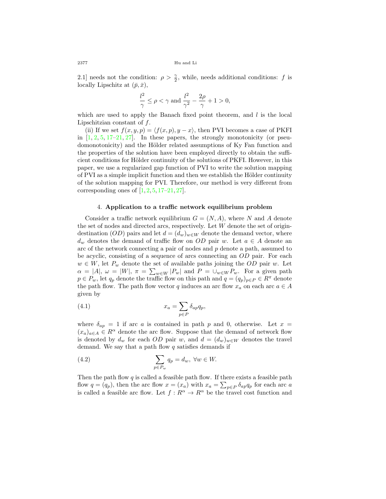2.1] needs not the condition:  $\rho > \frac{\gamma}{2}$ , while, needs additional conditions: *f* is locally Lipschitz at  $(\bar{p}, \bar{x})$ ,

$$
\frac{l^2}{\gamma} \le \rho < \gamma \text{ and } \frac{l^2}{\gamma^2} - \frac{2\rho}{\gamma} + 1 > 0,
$$

which are used to apply the Banach fixed point theorem, and *l* is the local Lipschitzian constant of *f*.

(ii) If we set  $f(x, y, p) = \langle f(x, p), y - x \rangle$ , then PVI becomes a case of PKFI in  $[1, 2, 5, 17-21, 27]$  $[1, 2, 5, 17-21, 27]$  $[1, 2, 5, 17-21, 27]$  $[1, 2, 5, 17-21, 27]$  $[1, 2, 5, 17-21, 27]$  $[1, 2, 5, 17-21, 27]$  $[1, 2, 5, 17-21, 27]$  $[1, 2, 5, 17-21, 27]$  $[1, 2, 5, 17-21, 27]$  $[1, 2, 5, 17-21, 27]$ . In these papers, the strongly monotonicity (or pseudomonotonicity) and the Hölder related assumptions of Ky Fan function and the properties of the solution have been employed directly to obtain the sufficient conditions for Hölder continuity of the solutions of PKFI. However, in this paper, we use a regularized gap function of PVI to write the solution mapping of PVI as a simple implicit function and then we establish the Hölder continuity of the solution mapping for PVI. Therefore, our method is very different from corresponding ones of  $[1, 2, 5, 17-21, 27]$  $[1, 2, 5, 17-21, 27]$  $[1, 2, 5, 17-21, 27]$  $[1, 2, 5, 17-21, 27]$  $[1, 2, 5, 17-21, 27]$  $[1, 2, 5, 17-21, 27]$  $[1, 2, 5, 17-21, 27]$  $[1, 2, 5, 17-21, 27]$  $[1, 2, 5, 17-21, 27]$  $[1, 2, 5, 17-21, 27]$ .

#### 4. **Application to a traffic network equilibrium problem**

Consider a traffic network equilibrium  $G = (N, A)$ , where *N* and *A* denote the set of nodes and directed arcs, respectively. Let *W* denote the set of origindestination (*OD*) pairs and let  $d = (d_w)_{w \in W}$  denote the demand vector, where *d<sub>w</sub>* denotes the demand of traffic flow on *OD* pair *w*. Let  $a \in A$  denote an arc of the network connecting a pair of nodes and *p* denote a path, assumed to be acyclic, consisting of a sequence of arcs connecting an *OD* pair. For each  $w \in W$ , let  $P_w$  denote the set of available paths joining the *OD* pair *w*. Let  $\alpha = |A|, \ \omega = |W|, \ \pi = \sum_{w \in W} |P_w|$  and  $P = \cup_{w \in W} P_w$ . For a given path *p*  $\in$  *P*<sup>*w*</sup>, let *q<sub>p</sub>* denote the traffic flow on this path and *q* =  $(q_p)_{p \in P} \in R^{\pi}$  denote the path flow. The path flow vector *q* induces an arc flow  $x_a$  on each arc  $a \in A$ given by

<span id="page-7-0"></span>(4.1) 
$$
x_a = \sum_{p \in P} \delta_{ap} q_p,
$$

where  $\delta_{ap} = 1$  if arc *a* is contained in path *p* and 0, otherwise. Let  $x =$  $(x_a)_{a \in A} \in R^{\alpha}$  denote the arc flow. Suppose that the demand of network flow is denoted by  $d_w$  for each *OD* pair *w*, and  $d = (d_w)_{w \in W}$  denotes the travel demand. We say that a path flow *q* satisfies demands if

<span id="page-7-1"></span>(4.2) 
$$
\sum_{p \in P_w} q_p = d_w, \ \forall w \in W.
$$

Then the path flow  $q$  is called a feasible path flow. If there exists a feasible path flow  $q = (q_p)$ , then the arc flow  $x = (x_a)$  with  $x_a = \sum_{p \in P} \delta_{ap} q_p$  for each arc *a* is called a feasible arc flow. Let  $f: R^{\alpha} \to R^{\alpha}$  be the travel cost function and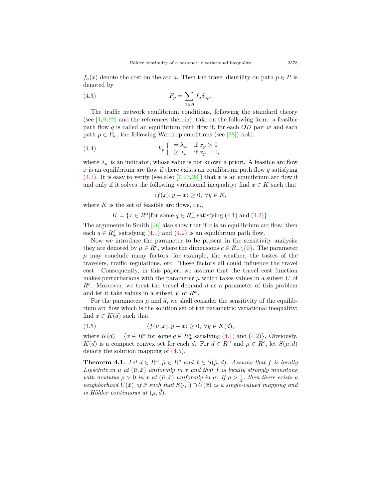$f_a(x)$  denote the cost on the arc *a*. Then the travel disutility on path  $p \in P$  is denoted by

(4.3) 
$$
F_p = \sum_{a \in A} f_a \delta_{ap}.
$$

The traffic network equilibrium conditions, following the standard theory (see  $[4, 9, 22]$  $[4, 9, 22]$  $[4, 9, 22]$  $[4, 9, 22]$  $[4, 9, 22]$  $[4, 9, 22]$  and the references therein), take on the following form: a feasible path flow *q* is called an equilibrium path flow if, for each *OD* pair *w* and each path  $p \in P_w$ , the following Wardrop conditions (see [[28\]](#page-11-4)) hold:

(4.4) 
$$
F_p \begin{cases} \begin{aligned} &= \lambda_w & \text{if } x_p > 0 \\ \ge \lambda_w & \text{if } x_p = 0, \end{aligned} \end{cases}
$$

where  $\lambda_w$  is an indicator, whose value is not known a priori. A feasible arc flow  $x$  is an equilibrium arc flow if there exists an equilibrium path flow  $q$  satisfying  $(4.1)$  $(4.1)$ . It is easy to verify (see also [\[7](#page-10-16),[23](#page-10-17),[26\]](#page-10-18)) that *x* is an equilibrium arc flow if and only if it solves the following variational inequality: find  $x \in K$  such that

$$
\langle f(x), y - x \rangle \ge 0, \ \forall y \in K,
$$

where  $K$  is the set of feasible arc flows, i.e.,

*K* = { $x \in R^{\alpha}$  | for some  $q \in R_+^{\pi}$  satisfying [\(4](#page-7-1).1) and (4.2)}*.* 

The arguments in Smith  $[26]$  $[26]$  also show that if *x* is an equilibrium arc flow, then each  $q \in R_+^{\pi}$  satisfying [\(4.1\)](#page-7-0) and [\(4.2](#page-7-1)) is an equilibrium path flow.

Now we introduce the parameter to be present in the sensitivity analysis: they are denoted by  $\mu \in R^c$ , where the dimensions  $c \in R_+ \setminus \{0\}$ . The parameter  $\mu$  may conclude many factors, for example, the weather, the tastes of the travelers, traffic regulations, etc. These factors all could influence the travel cost. Consequently, in this paper, we assume that the travel cost function makes perturbations with the parameter  $\mu$  which takes values in a subset  $U$  of  $R<sup>c</sup>$ . Moreover, we treat the travel demand *d* as a parameter of this problem and let it take values in a subset  $V$  of  $R^{\omega}$ .

For the parameters  $\mu$  and  $d$ , we shall consider the sensitivity of the equilibrium arc flow which is the solution set of the parametric variational inequality: find  $x \in K(d)$  such that

<span id="page-8-0"></span>(4.5) 
$$
\langle f(\mu, x), y - x \rangle \ge 0, \ \forall y \in K(d),
$$

where  $K(d) = \{x \in \mathbb{R}^{\alpha} | \text{for some } q \in \mathbb{R}_{+}^{\pi} \text{ satisfying (4.1) and (4.2)}\}.$  $K(d) = \{x \in \mathbb{R}^{\alpha} | \text{for some } q \in \mathbb{R}_{+}^{\pi} \text{ satisfying (4.1) and (4.2)}\}.$  $K(d) = \{x \in \mathbb{R}^{\alpha} | \text{for some } q \in \mathbb{R}_{+}^{\pi} \text{ satisfying (4.1) and (4.2)}\}.$  $K(d) = \{x \in \mathbb{R}^{\alpha} | \text{for some } q \in \mathbb{R}_{+}^{\pi} \text{ satisfying (4.1) and (4.2)}\}.$  $K(d) = \{x \in \mathbb{R}^{\alpha} | \text{for some } q \in \mathbb{R}_{+}^{\pi} \text{ satisfying (4.1) and (4.2)}\}.$  Obviously, *K*(*d*) is a compact convex set for each *d*. For  $d \in R^{\omega}$  and  $\mu \in R^c$ , let  $S(\mu, d)$ denote the solution mapping of [\(4.5\)](#page-8-0).

**Theorem 4.1.** Let  $\bar{d} \in R^{\omega}, \bar{\mu} \in R^c$  and  $\bar{x} \in S(\bar{\mu}, \bar{d})$ . Assume that f is locally *Lipschitz in*  $\mu$  *at*  $(\bar{\mu}, \bar{x})$  *uniformly in x and that f is locally strongly monotone with modulus*  $\rho > 0$  *in x at*  $(\bar{\mu}, \bar{x})$  *uniformly in*  $\mu$ *. If*  $\rho > \frac{\gamma}{2}$ *, then there exists a neighborhood*  $U(\bar{x})$  *of*  $\bar{x}$  *such that*  $S(\cdot, \cdot) \cap U(\bar{x})$  *is a single-valued mapping and is Hölder continuous at*  $(\bar{\mu}, \bar{d})$ *.*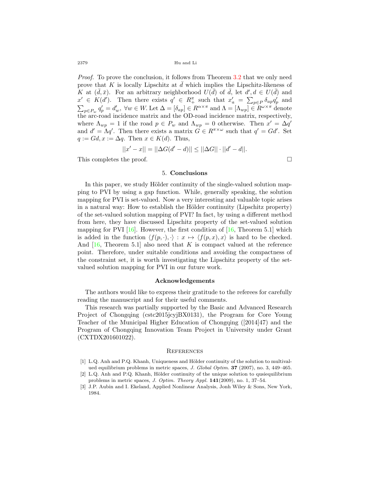2379 Hu and Li

*Proof.* To prove the conclusion, it follows from Theorem [3.2](#page-5-2) that we only need prove that  $K$  is locally Lipschitz at  $\bar{d}$  which implies the Lipschitz-likeness of *K* at  $(\bar{d}, \bar{x})$ . For an arbitrary neighborhood  $U(\bar{d})$  of  $\bar{d}$ , let  $d', d \in U(\bar{d})$  and  $x' \in K(d')$ . Then there exists  $q' \in R_+^{\pi}$  such that  $x'_a = \sum_{p \in P} \delta_{ap} q'_p$  and  $\sum_{p \in P_w} q'_p = d'_w$ ,  $\forall w \in W$ . Let  $\Delta = [\delta_{ap}] \in R^{\alpha \times \pi}$  and  $\Lambda = [\Lambda_{wp}] \in R^{\omega \times \pi}$  denote the arc-road incidence matrix and the OD-road incidence matrix, respectively, where  $\Lambda_{wp} = 1$  if the road  $p \in P_w$  and  $\Lambda_{wp} = 0$  otherwise. Then  $x' = \Delta q'$ and  $d' = \Lambda q'$ . Then there exists a matrix  $G \in R^{\pi \times \omega}$  such that  $q' = Gd'$ . Set  $q := Gd, x := \Delta q$ . Then  $x \in K(d)$ . Thus,

$$
||x'-x|| = ||\Delta G(d'-d)|| \le ||\Delta G|| \cdot ||d'-d||.
$$

This completes the proof. □

# 5. **Conclusions**

In this paper, we study Hölder continuity of the single-valued solution mapping to PVI by using a gap function. While, generally speaking, the solution mapping for PVI is set-valued. Now a very interesting and valuable topic arises in a natural way: How to establish the Hölder continuity (Lipschitz property) of the set-valued solution mapping of PVI? In fact, by using a different method from here, they have discussed Lipschitz property of the set-valued solution mapping for PVI  $[16]$  $[16]$ . However, the first condition of  $[16,$  $[16,$  Theorem 5.1] which is added in the function  $\langle f(p, \cdot), \cdot \rangle : x \mapsto \langle f(p, x), x \rangle$  is hard to be checked. And [[16,](#page-10-19) Theorem 5.1] also need that *K* is compact valued at the reference point. Therefore, under suitable conditions and avoiding the compactness of the constraint set, it is worth investigating the Lipschitz property of the setvalued solution mapping for PVI in our future work.

### **Acknowledgements**

The authors would like to express their gratitude to the referees for carefully reading the manuscript and for their useful comments.

This research was partially supported by the Basic and Advanced Research Project of Chongqing (cstc2015jcyjBX0131), the Program for Core Young Teacher of the Municipal Higher Education of Chongqing ([2014]47) and the Program of Chongqing Innovation Team Project in University under Grant (CXTDX201601022).

#### **REFERENCES**

- <span id="page-9-0"></span>[1] L.Q. Anh and P.Q. Khanh, Uniqueness and Hölder continuity of the solution to multivalued equilibrium problems in metric spaces, *J. Global Optim.* **37** (2007), no. 3, 449–465.
- <span id="page-9-1"></span>[2] L.Q. Anh and P.Q. Khanh, Hölder continuity of the unique solution to qusiequilibrium problems in metric spaces, *J. Optim. Theory Appl.* **141**(2009), no. 1, 37–54.
- <span id="page-9-2"></span>[3] J.P. Aubin and I. Ekeland, Applied Nonlinear Analysis, Jonh Wiley & Sons, New York, 1984.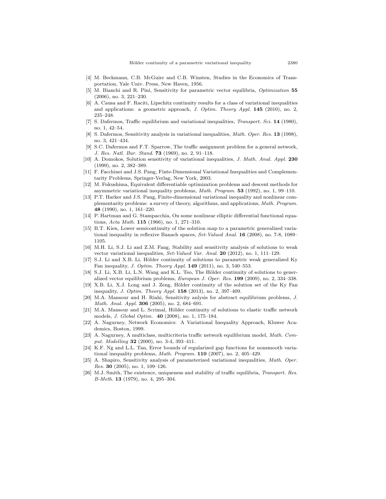- <span id="page-10-14"></span>[4] M. Beckmann, C.B. McGuire and C.B. Winsten, Studies in the Economics of Transportation, Yale Univ. Press, New Haven, 1956.
- <span id="page-10-11"></span>[5] M. Bianchi and R. Pini, Sensitivity for parametric vector equilibria, *Optimization* **55** (2006), no. 3, 221–230.
- <span id="page-10-6"></span>[6] A. Causa and F. Raciti, Lipschitz continuity results for a class of variational inequalities and applications: a geometric approach, *J. Optim. Theory Appl.* **145** (2010), no. 2, 235–248.
- <span id="page-10-16"></span>[7] S. Dafermos, Traffic equilibrium and variational inequalities, *Transport. Sci.* **14** (1980), no. 1, 42–54.
- <span id="page-10-2"></span>[8] S. Dafermos, Sensitivity analysis in variational inequalities, *Math. Oper. Res.* **13** (1998), no. 3, 421–434.
- <span id="page-10-15"></span>[9] S.C. Dafermos and F.T. Sparrow, The traffic assignment problem for a general network, *J. Res. Natl. Bur. Stand.* **73** (1969), no. 2, 91–118.
- <span id="page-10-7"></span>[10] A. Domokos, Solution sensitivity of variational inequalities, *J. Math. Anal. Appl.* **230** (1999), no. 2, 382–389.
- <span id="page-10-1"></span>[11] F. Facchinei and J.S. Pang, Finte-Dimensional Variational Inequalities and Complementarity Problems, Springer-Verlag, New York, 2003.
- <span id="page-10-3"></span>[12] M. Fukushima, Equivalent differentiable optimization problems and descent methods for asymmetric variational inequality problems, *Math. Program.* **53** (1992), no. 1, 99–110.
- <span id="page-10-8"></span>[13] P.T. Harker and J.S. Pang, Finite-dimensional variational inequality and nonlinear complementarity problems: a survey of theory, algorithms, and applications, *Math. Program.* **48** (1990), no. 1, 161–220.
- <span id="page-10-0"></span>[14] P. Hartman and G. Stampacchia, On some nonlinear elliptic differential functional equations, *Acta Math.* **115** (1966), no. 1, 271–310.
- <span id="page-10-9"></span>[15] B.T. Kien, Lower semicontinuity of the solution map to a parametric generalized variational inequality in reflexive Banach spaces, *Set-Valued Anal.* **16** (2008), no. 7-8, 1089– 1105.
- <span id="page-10-19"></span>[16] M.H. Li, S.J. Li and Z.M. Fang, Stability and sensitivity analysis of solutions to weak vector variational inequalities, *Set-Valued Var. Anal.* **20** (2012), no. 1, 111–129.
- <span id="page-10-12"></span>[17] S.J. Li and X.B. Li, Hölder continuity of solutions to parametric weak generalized Ky Fan inequality, *J. Optim. Theory Appl.* **149** (2011), no. 3, 540–553.
- [18] S.J. Li, X.B. Li, L.N. Wang and K.L. Teo, The Hölder continuity of solutions to generalized vector equilibrium problems, *European J. Oper. Res.* **199** (2009), no. 2, 334–338.
- [19] X.B. Li, X.J. Long and J. Zeng, Hölder continuity of the solution set of the Ky Fan inequality, *J. Optim. Theory Appl.* **158** (2013), no. 2, 397–409.
- [20] M.A. Mansour and H. Riahi, Sensitivity anlysis for abstract equilibrium problems, *J. Math. Anal. Appl.* **306** (2005), no. 2, 684–691.
- <span id="page-10-13"></span>[21] M.A. Mansour and L. Scrimal, Hölder continuity of solutions to elastic traffic network models, *J. Global Optim.* **40** (2008), no. 1, 175–184.
- <span id="page-10-4"></span>[22] A. Nagurney, Network Economics: A Variational Inequality Approach, Kluwer Academics, Boston, 1999.
- <span id="page-10-17"></span>[23] A. Nagurney, A multiclass, multicriteria traffic network equilibrium model, *Math. Comput. Modelling* **32** (2000), no. 3-4, 393–411.
- <span id="page-10-5"></span>[24] K.F. Ng and L.L. Tan, Error bounds of regularized gap functions for nonsmooth variational inequality problems, *Math. Program.* **110** (2007), no. 2, 405–429.
- <span id="page-10-10"></span>[25] A. Shapiro, Sensitivity analysis of parameterized variational inequalities, *Math. Oper. Res.* **30** (2005), no. 1, 109–126.
- <span id="page-10-18"></span>[26] M.J. Smith, The existence, uniqueness and stability of traffic equilibria, *Transport. Res. B-Meth.* **13** (1979), no. 4, 295–304.